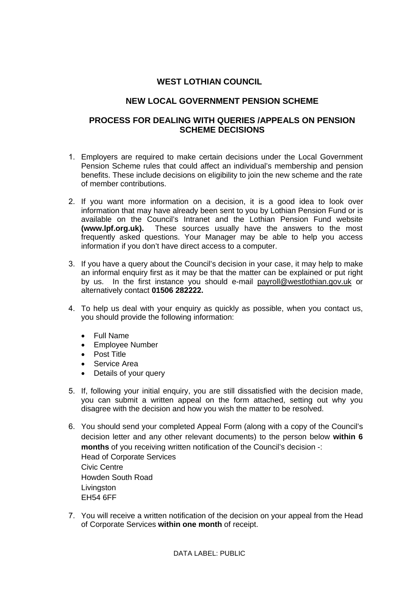### **WEST LOTHIAN COUNCIL**

### **NEW LOCAL GOVERNMENT PENSION SCHEME**

#### **PROCESS FOR DEALING WITH QUERIES /APPEALS ON PENSION SCHEME DECISIONS**

- 1. Employers are required to make certain decisions under the Local Government Pension Scheme rules that could affect an individual's membership and pension benefits. These include decisions on eligibility to join the new scheme and the rate of member contributions.
- 2. If you want more information on a decision, it is a good idea to look over information that may have already been sent to you by Lothian Pension Fund or is available on the Council's Intranet and the Lothian Pension Fund website **(www.lpf.org.uk).** These sources usually have the answers to the most frequently asked questions. Your Manager may be able to help you access information if you don't have direct access to a computer.
- 3. If you have a query about the Council's decision in your case, it may help to make an informal enquiry first as it may be that the matter can be explained or put right by us. In the first instance you should e-mail [payroll@westlothian.gov.uk](mailto:payroll@westlothian.gov.uk) or alternatively contact **01506 282222.**
- 4. To help us deal with your enquiry as quickly as possible, when you contact us, you should provide the following information:
	- Full Name
	- Employee Number
	- Post Title
	- Service Area
	- Details of your query
- 5. If, following your initial enquiry, you are still dissatisfied with the decision made, you can submit a written appeal on the form attached, setting out why you disagree with the decision and how you wish the matter to be resolved.
- 6. You should send your completed Appeal Form (along with a copy of the Council's decision letter and any other relevant documents) to the person below **within 6 months** of you receiving written notification of the Council's decision -: Head of Corporate Services Civic Centre Howden South Road Livingston EH54 6FF
- 7. You will receive a written notification of the decision on your appeal from the Head of Corporate Services **within one month** of receipt.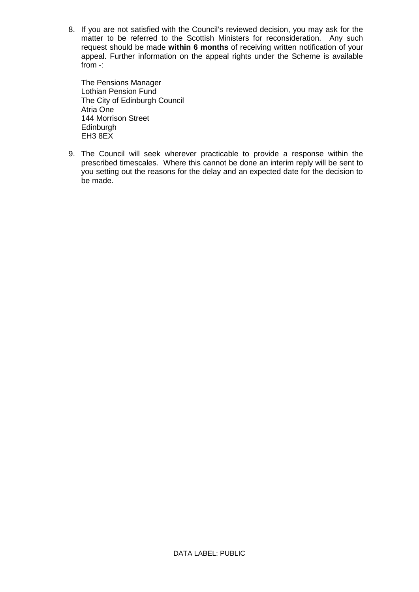8. If you are not satisfied with the Council's reviewed decision, you may ask for the matter to be referred to the Scottish Ministers for reconsideration. Any such request should be made **within 6 months** of receiving written notification of your appeal. Further information on the appeal rights under the Scheme is available from -:

The Pensions Manager Lothian Pension Fund The City of Edinburgh Council Atria One 144 Morrison Street **Edinburgh** EH3 8EX

9. The Council will seek wherever practicable to provide a response within the prescribed timescales. Where this cannot be done an interim reply will be sent to you setting out the reasons for the delay and an expected date for the decision to be made.